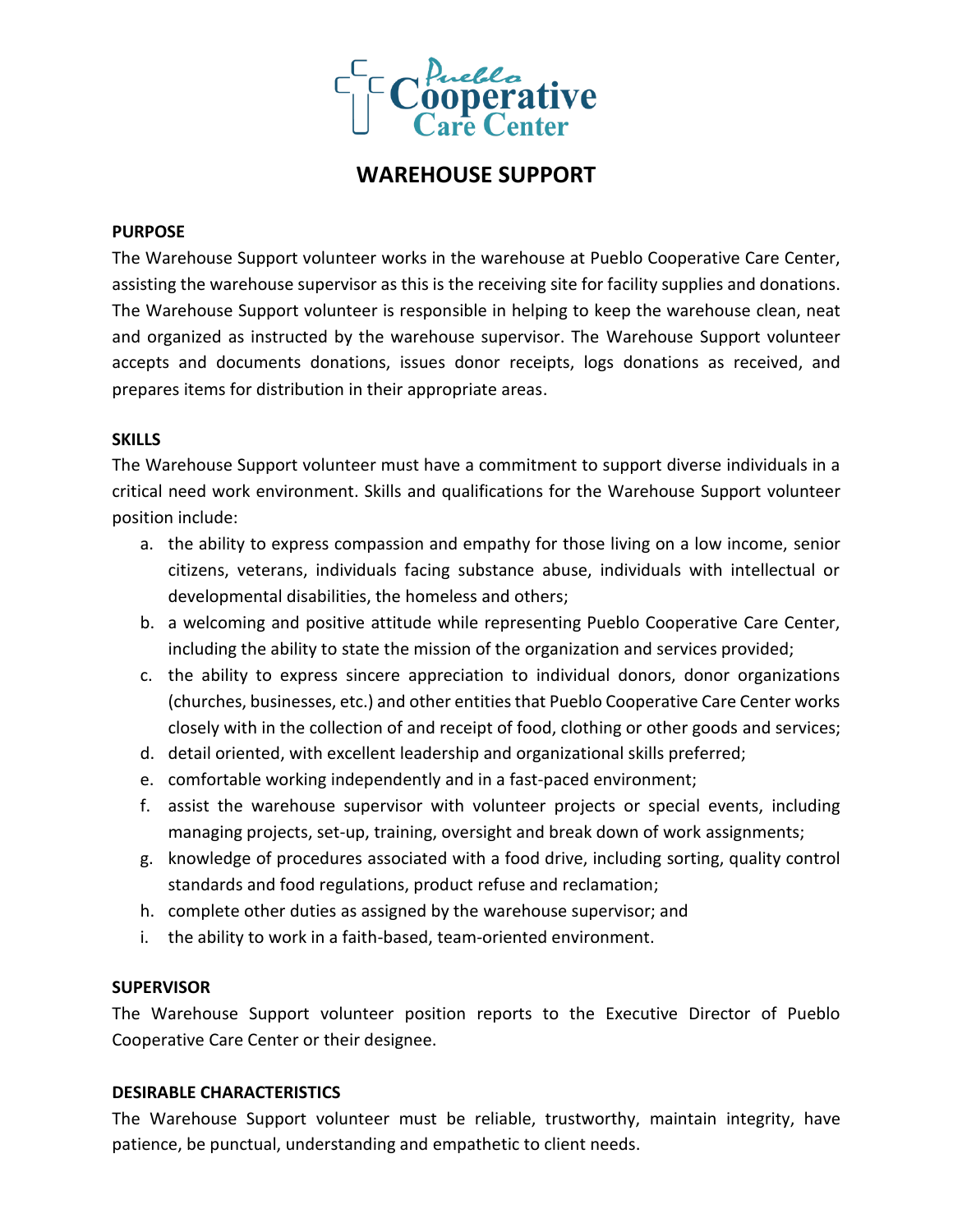

# **WAREHOUSE SUPPORT**

### **PURPOSE**

The Warehouse Support volunteer works in the warehouse at Pueblo Cooperative Care Center, assisting the warehouse supervisor as this is the receiving site for facility supplies and donations. The Warehouse Support volunteer is responsible in helping to keep the warehouse clean, neat and organized as instructed by the warehouse supervisor. The Warehouse Support volunteer accepts and documents donations, issues donor receipts, logs donations as received, and prepares items for distribution in their appropriate areas.

# **SKILLS**

The Warehouse Support volunteer must have a commitment to support diverse individuals in a critical need work environment. Skills and qualifications for the Warehouse Support volunteer position include:

- a. the ability to express compassion and empathy for those living on a low income, senior citizens, veterans, individuals facing substance abuse, individuals with intellectual or developmental disabilities, the homeless and others;
- b. a welcoming and positive attitude while representing Pueblo Cooperative Care Center, including the ability to state the mission of the organization and services provided;
- c. the ability to express sincere appreciation to individual donors, donor organizations (churches, businesses, etc.) and other entities that Pueblo Cooperative Care Center works closely with in the collection of and receipt of food, clothing or other goods and services;
- d. detail oriented, with excellent leadership and organizational skills preferred;
- e. comfortable working independently and in a fast-paced environment;
- f. assist the warehouse supervisor with volunteer projects or special events, including managing projects, set-up, training, oversight and break down of work assignments;
- g. knowledge of procedures associated with a food drive, including sorting, quality control standards and food regulations, product refuse and reclamation;
- h. complete other duties as assigned by the warehouse supervisor; and
- i. the ability to work in a faith-based, team-oriented environment.

# **SUPERVISOR**

The Warehouse Support volunteer position reports to the Executive Director of Pueblo Cooperative Care Center or their designee.

# **DESIRABLE CHARACTERISTICS**

The Warehouse Support volunteer must be reliable, trustworthy, maintain integrity, have patience, be punctual, understanding and empathetic to client needs.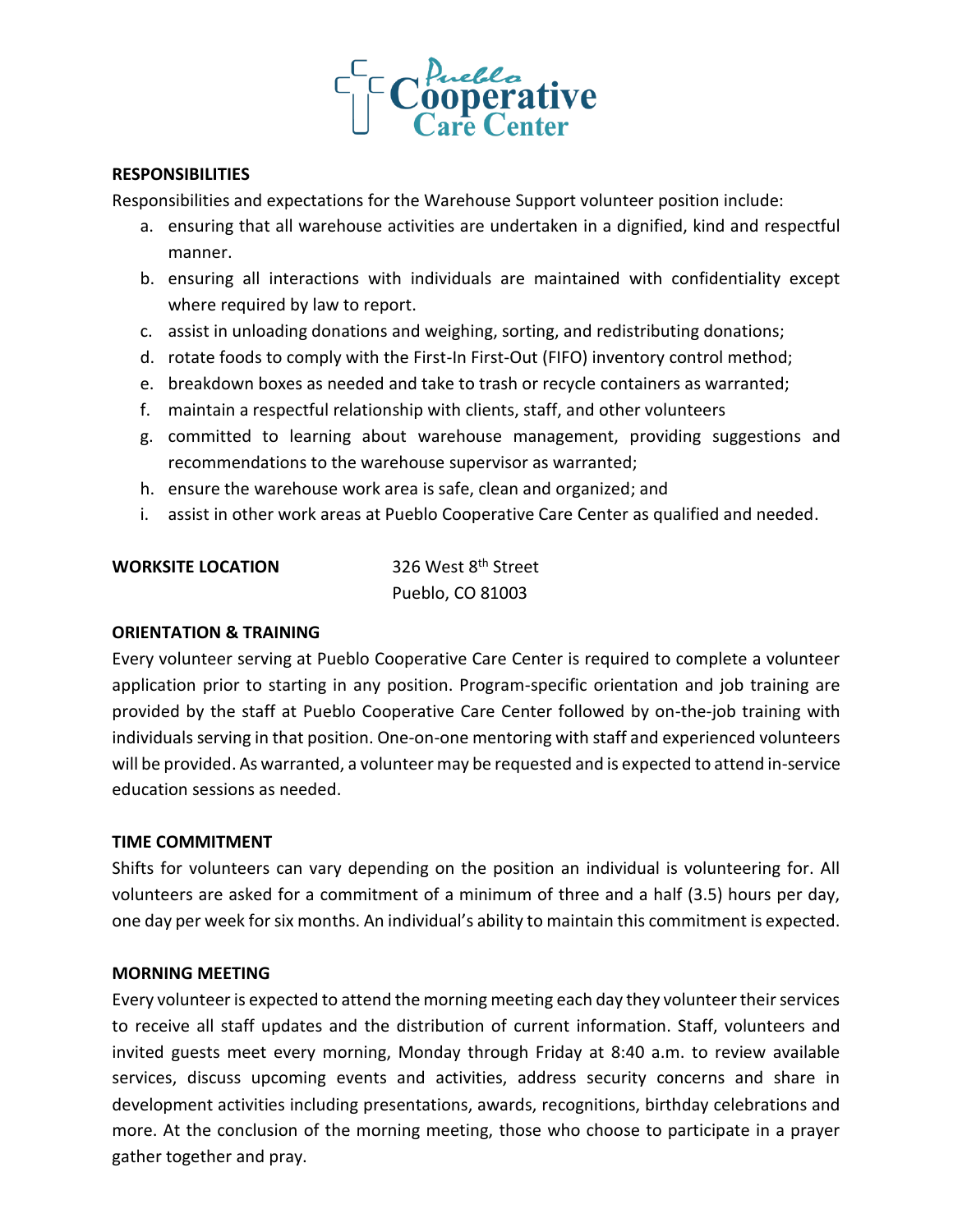

### **RESPONSIBILITIES**

Responsibilities and expectations for the Warehouse Support volunteer position include:

- a. ensuring that all warehouse activities are undertaken in a dignified, kind and respectful manner.
- b. ensuring all interactions with individuals are maintained with confidentiality except where required by law to report.
- c. assist in unloading donations and weighing, sorting, and redistributing donations;
- d. rotate foods to comply with the First-In First-Out (FIFO) inventory control method;
- e. breakdown boxes as needed and take to trash or recycle containers as warranted;
- f. maintain a respectful relationship with clients, staff, and other volunteers
- g. committed to learning about warehouse management, providing suggestions and recommendations to the warehouse supervisor as warranted;
- h. ensure the warehouse work area is safe, clean and organized; and
- i. assist in other work areas at Pueblo Cooperative Care Center as qualified and needed.

**WORKSITE LOCATION** 326 West 8<sup>th</sup> Street Pueblo, CO 81003

# **ORIENTATION & TRAINING**

Every volunteer serving at Pueblo Cooperative Care Center is required to complete a volunteer application prior to starting in any position. Program-specific orientation and job training are provided by the staff at Pueblo Cooperative Care Center followed by on-the-job training with individuals serving in that position. One-on-one mentoring with staff and experienced volunteers will be provided. As warranted, a volunteer may be requested and is expected to attend in-service education sessions as needed.

# **TIME COMMITMENT**

Shifts for volunteers can vary depending on the position an individual is volunteering for. All volunteers are asked for a commitment of a minimum of three and a half (3.5) hours per day, one day per week for six months. An individual's ability to maintain this commitment is expected.

# **MORNING MEETING**

Every volunteer is expected to attend the morning meeting each day they volunteer their services to receive all staff updates and the distribution of current information. Staff, volunteers and invited guests meet every morning, Monday through Friday at 8:40 a.m. to review available services, discuss upcoming events and activities, address security concerns and share in development activities including presentations, awards, recognitions, birthday celebrations and more. At the conclusion of the morning meeting, those who choose to participate in a prayer gather together and pray.